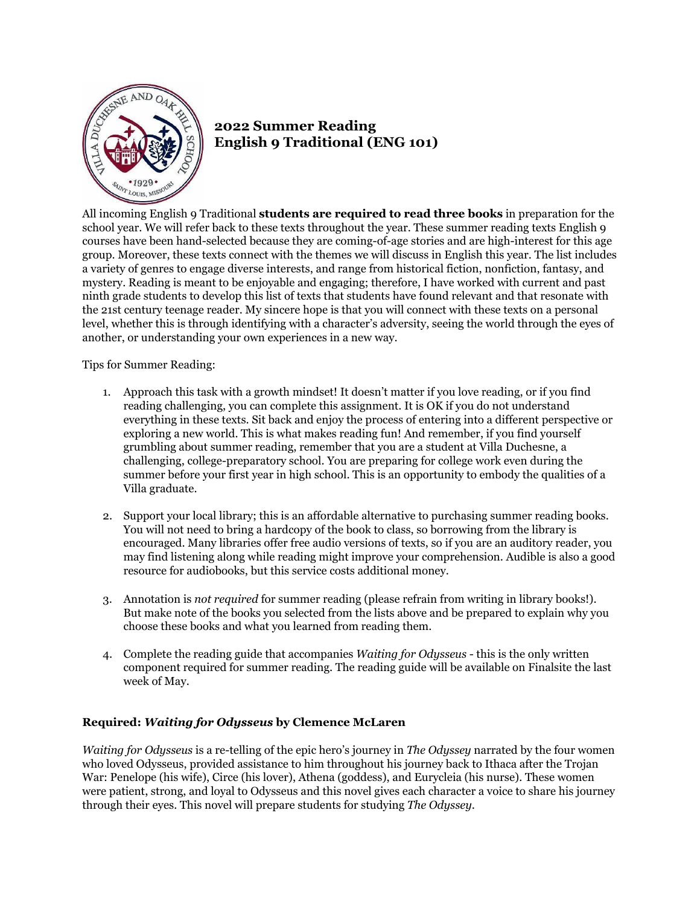

## **2022 Summer Reading English 9 Traditional (ENG 101)**

All incoming English 9 Traditional **students are required to read three books** in preparation for the school year. We will refer back to these texts throughout the year. These summer reading texts English 9 courses have been hand-selected because they are coming-of-age stories and are high-interest for this age group. Moreover, these texts connect with the themes we will discuss in English this year. The list includes a variety of genres to engage diverse interests, and range from historical fiction, nonfiction, fantasy, and mystery. Reading is meant to be enjoyable and engaging; therefore, I have worked with current and past ninth grade students to develop this list of texts that students have found relevant and that resonate with the 21st century teenage reader. My sincere hope is that you will connect with these texts on a personal level, whether this is through identifying with a character's adversity, seeing the world through the eyes of another, or understanding your own experiences in a new way.

Tips for Summer Reading:

- 1. Approach this task with a growth mindset! It doesn't matter if you love reading, or if you find reading challenging, you can complete this assignment. It is OK if you do not understand everything in these texts. Sit back and enjoy the process of entering into a different perspective or exploring a new world. This is what makes reading fun! And remember, if you find yourself grumbling about summer reading, remember that you are a student at Villa Duchesne, a challenging, college-preparatory school. You are preparing for college work even during the summer before your first year in high school. This is an opportunity to embody the qualities of a Villa graduate.
- 2. Support your local library; this is an affordable alternative to purchasing summer reading books. You will not need to bring a hardcopy of the book to class, so borrowing from the library is encouraged. Many libraries offer free audio versions of texts, so if you are an auditory reader, you may find listening along while reading might improve your comprehension. Audible is also a good resource for audiobooks, but this service costs additional money.
- 3. Annotation is *not required* for summer reading (please refrain from writing in library books!). But make note of the books you selected from the lists above and be prepared to explain why you choose these books and what you learned from reading them.
- 4. Complete the reading guide that accompanies *Waiting for Odysseus* this is the only written component required for summer reading. The reading guide will be available on Finalsite the last week of May.

## **Required:** *Waiting for Odysseus* **by Clemence McLaren**

*Waiting for Odysseus* is a re-telling of the epic hero's journey in *The Odyssey* narrated by the four women who loved Odysseus, provided assistance to him throughout his journey back to Ithaca after the Trojan War: Penelope (his wife), Circe (his lover), Athena (goddess), and Eurycleia (his nurse). These women were patient, strong, and loyal to Odysseus and this novel gives each character a voice to share his journey through their eyes. This novel will prepare students for studying *The Odyssey*.